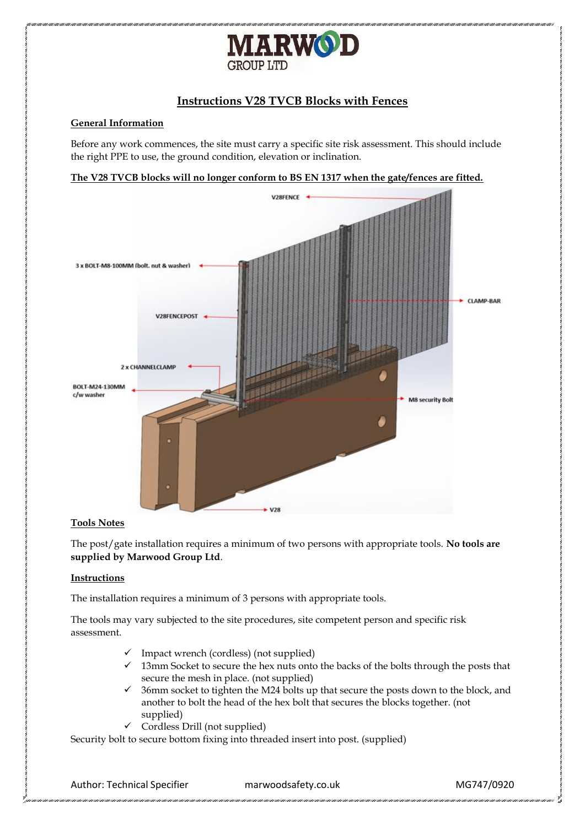

# **Instructions V28 TVCB Blocks with Fences**

## **General Information**

Before any work commences, the site must carry a specific site risk assessment. This should include the right PPE to use, the ground condition, elevation or inclination.





## **Tools Notes**

The post/gate installation requires a minimum of two persons with appropriate tools. **No tools are supplied by Marwood Group Ltd**.

## **Instructions**

The installation requires a minimum of 3 persons with appropriate tools.

The tools may vary subjected to the site procedures, site competent person and specific risk assessment.

- $\checkmark$  Impact wrench (cordless) (not supplied)
- ✓ 13mm Socket to secure the hex nuts onto the backs of the bolts through the posts that secure the mesh in place. (not supplied)
- $\checkmark$  36mm socket to tighten the M24 bolts up that secure the posts down to the block, and another to bolt the head of the hex bolt that secures the blocks together. (not supplied)
- $\checkmark$  Cordless Drill (not supplied)

Security bolt to secure bottom fixing into threaded insert into post. (supplied)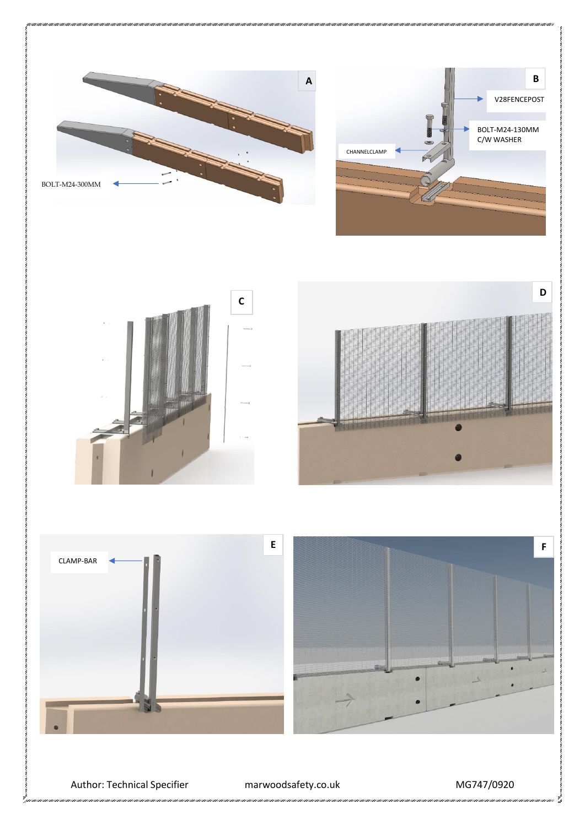